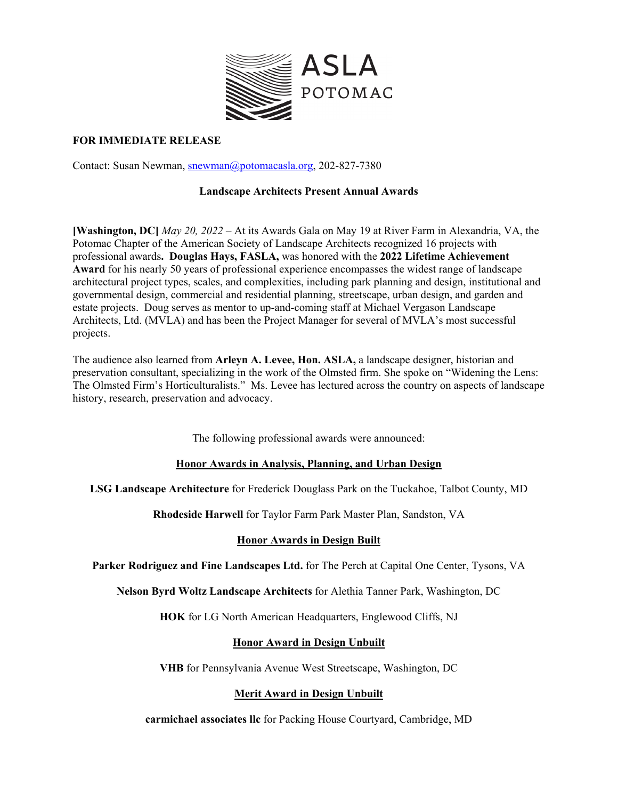

### **FOR IMMEDIATE RELEASE**

Contact: Susan Newman, snewman@potomacasla.org, 202-827-7380

## **Landscape Architects Present Annual Awards**

**[Washington, DC]** *May 20, 2022 –* At its Awards Gala on May 19 at River Farm in Alexandria, VA, the Potomac Chapter of the American Society of Landscape Architects recognized 16 projects with professional awards**. Douglas Hays, FASLA,** was honored with the **2022 Lifetime Achievement Award** for his nearly 50 years of professional experience encompasses the widest range of landscape architectural project types, scales, and complexities, including park planning and design, institutional and governmental design, commercial and residential planning, streetscape, urban design, and garden and estate projects. Doug serves as mentor to up-and-coming staff at Michael Vergason Landscape Architects, Ltd. (MVLA) and has been the Project Manager for several of MVLA's most successful projects.

The audience also learned from **Arleyn A. Levee, Hon. ASLA,** a landscape designer, historian and preservation consultant, specializing in the work of the Olmsted firm. She spoke on "Widening the Lens: The Olmsted Firm's Horticulturalists." Ms. Levee has lectured across the country on aspects of landscape history, research, preservation and advocacy.

The following professional awards were announced:

### **Honor Awards in Analysis, Planning, and Urban Design**

**LSG Landscape Architecture** for Frederick Douglass Park on the Tuckahoe, Talbot County, MD

**Rhodeside Harwell** for Taylor Farm Park Master Plan, Sandston, VA

# **Honor Awards in Design Built**

**Parker Rodriguez and Fine Landscapes Ltd.** for The Perch at Capital One Center, Tysons, VA

**Nelson Byrd Woltz Landscape Architects** for Alethia Tanner Park, Washington, DC

**HOK** for LG North American Headquarters, Englewood Cliffs, NJ

# **Honor Award in Design Unbuilt**

**VHB** for Pennsylvania Avenue West Streetscape, Washington, DC

# **Merit Award in Design Unbuilt**

**carmichael associates llc** for Packing House Courtyard, Cambridge, MD